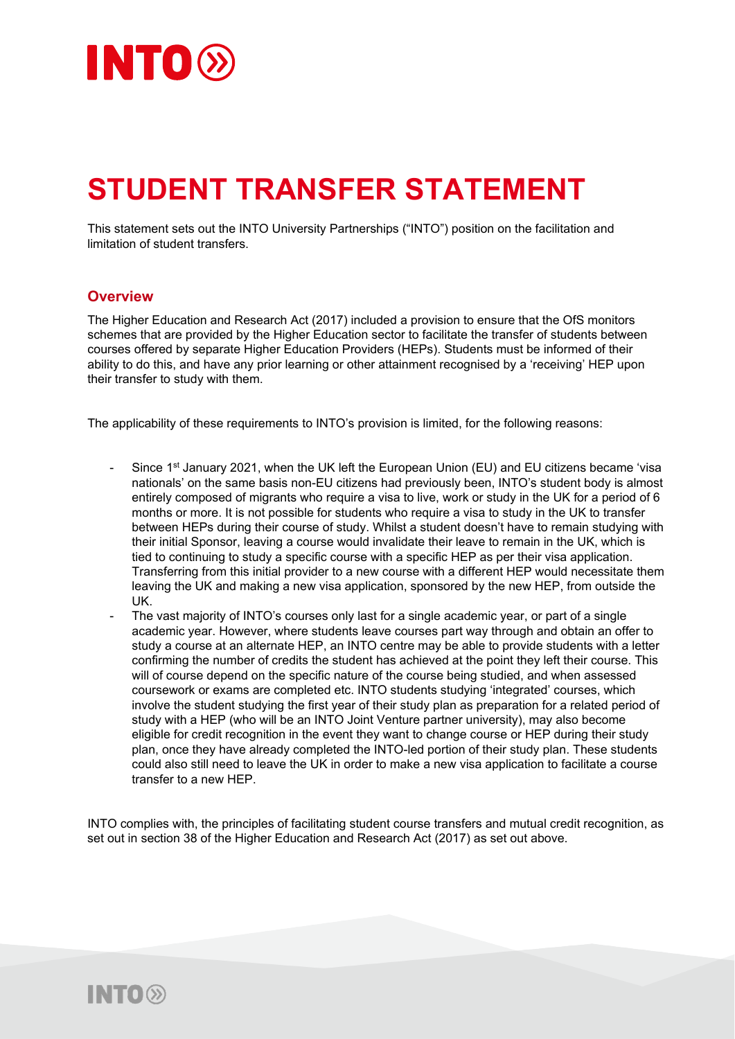

## **STUDENT TRANSFER STATEMENT**

This statement sets out the INTO University Partnerships ("INTO") position on the facilitation and limitation of student transfers.

## **Overview**

The Higher Education and Research Act (2017) included a provision to ensure that the OfS monitors schemes that are provided by the Higher Education sector to facilitate the transfer of students between courses offered by separate Higher Education Providers (HEPs). Students must be informed of their ability to do this, and have any prior learning or other attainment recognised by a 'receiving' HEP upon their transfer to study with them.

The applicability of these requirements to INTO's provision is limited, for the following reasons:

- Since 1<sup>st</sup> January 2021, when the UK left the European Union (EU) and EU citizens became 'visa nationals' on the same basis non-EU citizens had previously been, INTO's student body is almost entirely composed of migrants who require a visa to live, work or study in the UK for a period of 6 months or more. It is not possible for students who require a visa to study in the UK to transfer between HEPs during their course of study. Whilst a student doesn't have to remain studying with their initial Sponsor, leaving a course would invalidate their leave to remain in the UK, which is tied to continuing to study a specific course with a specific HEP as per their visa application. Transferring from this initial provider to a new course with a different HEP would necessitate them leaving the UK and making a new visa application, sponsored by the new HEP, from outside the UK.
- The vast majority of INTO's courses only last for a single academic year, or part of a single academic year. However, where students leave courses part way through and obtain an offer to study a course at an alternate HEP, an INTO centre may be able to provide students with a letter confirming the number of credits the student has achieved at the point they left their course. This will of course depend on the specific nature of the course being studied, and when assessed coursework or exams are completed etc. INTO students studying 'integrated' courses, which involve the student studying the first year of their study plan as preparation for a related period of study with a HEP (who will be an INTO Joint Venture partner university), may also become eligible for credit recognition in the event they want to change course or HEP during their study plan, once they have already completed the INTO-led portion of their study plan. These students could also still need to leave the UK in order to make a new visa application to facilitate a course transfer to a new HEP.

INTO complies with, the principles of facilitating student course transfers and mutual credit recognition, as set out in section 38 of the Higher Education and Research Act (2017) as set out above.

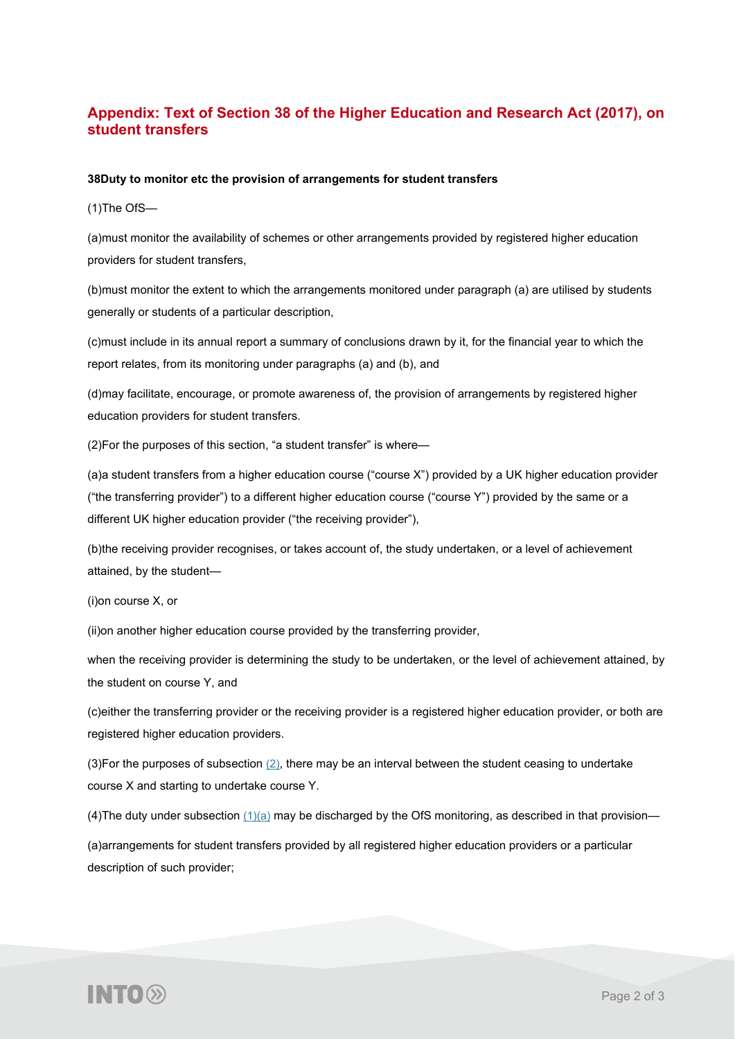## **Appendix: Text of Section 38 of the Higher Education and Research Act (2017), on student transfers**

## **38Duty to monitor etc the provision of arrangements for student transfers**

(1)The OfS—

(a)must monitor the availability of schemes or other arrangements provided by registered higher education providers for student transfers,

(b)must monitor the extent to which the arrangements monitored under paragraph (a) are utilised by students generally or students of a particular description,

(c)must include in its annual report a summary of conclusions drawn by it, for the financial year to which the report relates, from its monitoring under paragraphs (a) and (b), and

(d)may facilitate, encourage, or promote awareness of, the provision of arrangements by registered higher education providers for student transfers.

(2)For the purposes of this section, "a student transfer" is where—

(a)a student transfers from a higher education course ("course X") provided by a UK higher education provider ("the transferring provider") to a different higher education course ("course Y") provided by the same or a different UK higher education provider ("the receiving provider"),

(b)the receiving provider recognises, or takes account of, the study undertaken, or a level of achievement attained, by the student—

(i)on course X, or

(ii)on another higher education course provided by the transferring provider,

when the receiving provider is determining the study to be undertaken, or the level of achievement attained, by the student on course Y, and

(c)either the transferring provider or the receiving provider is a registered higher education provider, or both are registered higher education providers.

(3)For the purposes of subsection [\(2\),](https://www.legislation.gov.uk/ukpga/2017/29/part/1/crossheading/student-transfers/enacted#section-38-2) there may be an interval between the student ceasing to undertake course X and starting to undertake course Y.

(4) The duty under subsection  $(1)(a)$  may be discharged by the OfS monitoring, as described in that provision—

(a)arrangements for student transfers provided by all registered higher education providers or a particular description of such provider;